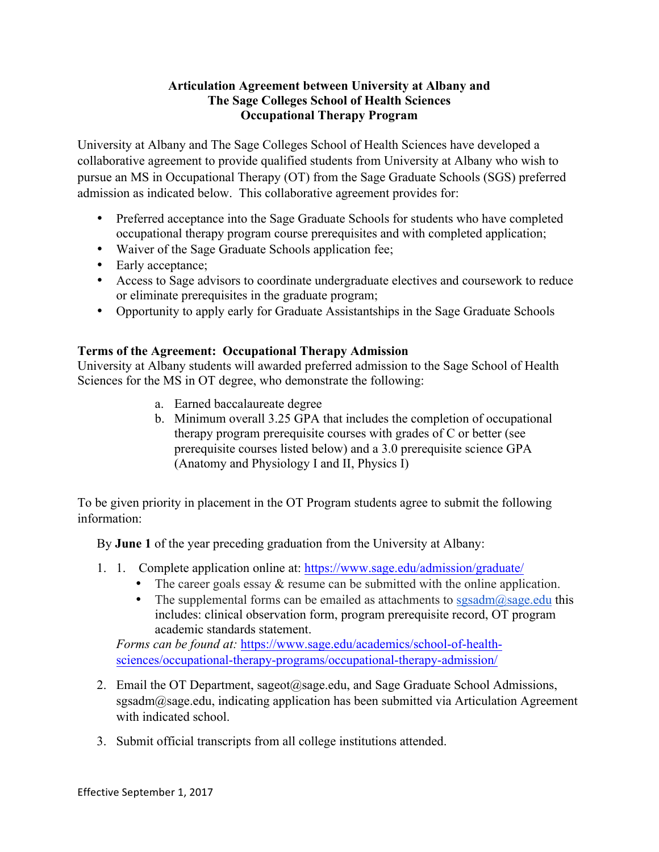## **Articulation Agreement between University at Albany and The Sage Colleges School of Health Sciences Occupational Therapy Program**

University at Albany and The Sage Colleges School of Health Sciences have developed a collaborative agreement to provide qualified students from University at Albany who wish to pursue an MS in Occupational Therapy (OT) from the Sage Graduate Schools (SGS) preferred admission as indicated below. This collaborative agreement provides for:

- Preferred acceptance into the Sage Graduate Schools for students who have completed occupational therapy program course prerequisites and with completed application;
- Waiver of the Sage Graduate Schools application fee;
- Early acceptance;
- Access to Sage advisors to coordinate undergraduate electives and coursework to reduce or eliminate prerequisites in the graduate program;
- Opportunity to apply early for Graduate Assistantships in the Sage Graduate Schools

## **Terms of the Agreement: Occupational Therapy Admission**

University at Albany students will awarded preferred admission to the Sage School of Health Sciences for the MS in OT degree, who demonstrate the following:

- a. Earned baccalaureate degree
- b. Minimum overall 3.25 GPA that includes the completion of occupational therapy program prerequisite courses with grades of C or better (see prerequisite courses listed below) and a 3.0 prerequisite science GPA (Anatomy and Physiology I and II, Physics I)

To be given priority in placement in the OT Program students agree to submit the following information:

By **June 1** of the year preceding graduation from the University at Albany:

- 1. 1. Complete application online at: https://www.sage.edu/admission/graduate/
	- The career goals essay  $\&$  resume can be submitted with the online application.
	- The supplemental forms can be emailed as attachments to  $ssasadm@sage.edu$  this includes: clinical observation form, program prerequisite record, OT program academic standards statement.

*Forms can be found at:* https://www.sage.edu/academics/school-of-healthsciences/occupational-therapy-programs/occupational-therapy-admission/

- 2. Email the OT Department, sageot@sage.edu, and Sage Graduate School Admissions, sgsadm@sage.edu, indicating application has been submitted via Articulation Agreement with indicated school.
- 3. Submit official transcripts from all college institutions attended.